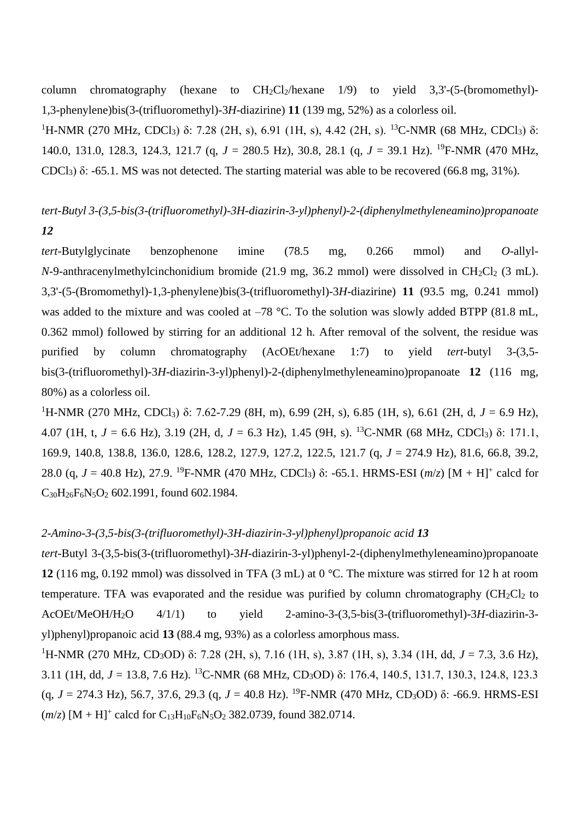column chromatography (hexane to  $CH_2Cl_2/h$  exane  $1/9$ ) to yield  $3,3'$ -(5-(bromomethyl)-1,3-phenylene)bis(3-(trifluoromethyl)-3*H*-diazirine) **11** (139 mg, 52%) as a colorless oil.

<sup>1</sup>H-NMR (270 MHz, CDCl<sub>3</sub>) δ: 7.28 (2H, s), 6.91 (1H, s), 4.42 (2H, s). <sup>13</sup>C-NMR (68 MHz, CDCl<sub>3</sub>) δ: 140.0, 131.0, 128.3, 124.3, 121.7 (q, *J* = 280.5 Hz), 30.8, 28.1 (q, *J* = 39.1 Hz). <sup>19</sup>F-NMR (470 MHz, CDCl<sub>3</sub>) δ: -65.1. MS was not detected. The starting material was able to be recovered (66.8 mg, 31%).

# *tert-Butyl 3-(3,5-bis(3-(trifluoromethyl)-3H-diazirin-3-yl)phenyl)-2-(diphenylmethyleneamino)propanoate 12*

*tert*-Butylglycinate benzophenone imine (78.5 mg, 0.266 mmol) and *O*-allyl-*N*-9-anthracenylmethylcinchonidium bromide (21.9 mg, 36.2 mmol) were dissolved in CH<sub>2</sub>Cl<sub>2</sub> (3 mL). 3,3'-(5-(Bromomethyl)-1,3-phenylene)bis(3-(trifluoromethyl)-3*H*-diazirine) **11** (93.5 mg, 0.241 mmol) was added to the mixture and was cooled at –78 °C. To the solution was slowly added BTPP (81.8 mL, 0.362 mmol) followed by stirring for an additional 12 h. After removal of the solvent, the residue was purified by column chromatography (AcOEt/hexane 1:7) to yield *tert*-butyl 3-(3,5 bis(3-(trifluoromethyl)-3*H*-diazirin-3-yl)phenyl)-2-(diphenylmethyleneamino)propanoate **12** (116 mg, 80%) as a colorless oil.

<sup>1</sup>H-NMR (270 MHz, CDCl<sub>3</sub>) δ: 7.62-7.29 (8H, m), 6.99 (2H, s), 6.85 (1H, s), 6.61 (2H, d, *J* = 6.9 Hz), 4.07 (1H, t, *J* = 6.6 Hz), 3.19 (2H, d, *J* = 6.3 Hz), 1.45 (9H, s). <sup>13</sup>C-NMR (68 MHz, CDCl3) δ: 171.1, 169.9, 140.8, 138.8, 136.0, 128.6, 128.2, 127.9, 127.2, 122.5, 121.7 (q, *J* = 274.9 Hz), 81.6, 66.8, 39.2, 28.0 (q,  $J = 40.8$  Hz), 27.9. <sup>19</sup>F-NMR (470 MHz, CDCl<sub>3</sub>) δ: -65.1. HRMS-ESI ( $m/z$ ) [M + H]<sup>+</sup> calcd for  $C_{30}H_{26}F_6N_5O_2$  602.1991, found 602.1984.

### *2-Amino-3-(3,5-bis(3-(trifluoromethyl)-3H-diazirin-3-yl)phenyl)propanoic acid 13*

*tert*-Butyl 3-(3,5-bis(3-(trifluoromethyl)-3*H*-diazirin-3-yl)phenyl-2-(diphenylmethyleneamino)propanoate **12** (116 mg, 0.192 mmol) was dissolved in TFA (3 mL) at 0 °C. The mixture was stirred for 12 h at room temperature. TFA was evaporated and the residue was purified by column chromatography  $\rm (CH_2Cl_2$  to AcOEt/MeOH/H2O 4/1/1) to yield 2-amino-3-(3,5-bis(3-(trifluoromethyl)-3*H*-diazirin-3 yl)phenyl)propanoic acid **13** (88.4 mg, 93%) as a colorless amorphous mass.

<sup>1</sup>H-NMR (270 MHz, CD<sub>3</sub>OD) δ: 7.28 (2H, s), 7.16 (1H, s), 3.87 (1H, s), 3.34 (1H, dd, *J* = 7.3, 3.6 Hz), 3.11 (1H, dd, *J* = 13.8, 7.6 Hz). <sup>13</sup>C-NMR (68 MHz, CD3OD) δ: 176.4, 140.5, 131.7, 130.3, 124.8, 123.3 (q,  $J = 274.3$  Hz), 56.7, 37.6, 29.3 (q,  $J = 40.8$  Hz). <sup>19</sup>F-NMR (470 MHz, CD<sub>3</sub>OD) δ: -66.9. HRMS-ESI  $(m/z)$  [M + H]<sup>+</sup> calcd for C<sub>13</sub>H<sub>10</sub>F<sub>6</sub>N<sub>5</sub>O<sub>2</sub> 382.0739, found 382.0714.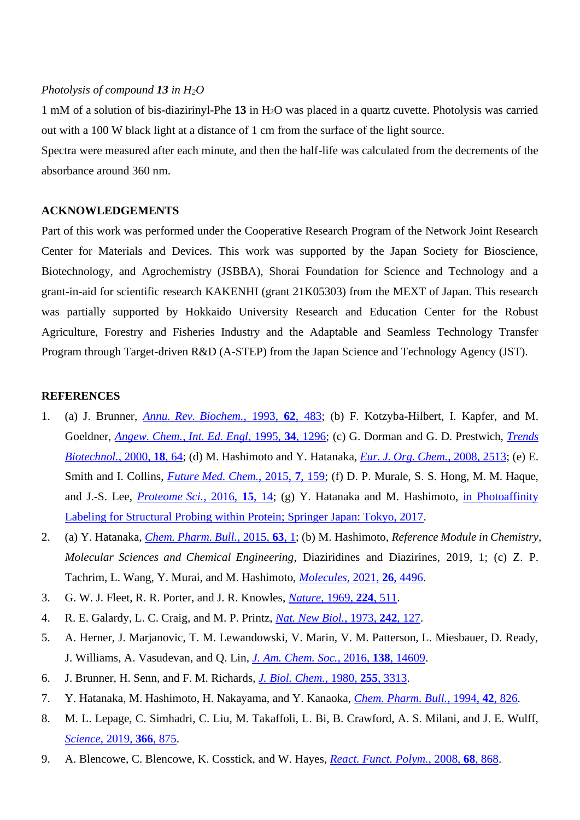## *Photolysis of compound 13 in H2O*

1 mM of a solution of bis-diazirinyl-Phe **13** in H2O was placed in a quartz cuvette. Photolysis was carried out with a 100 W black light at a distance of 1 cm from the surface of the light source.

Spectra were measured after each minute, and then the half-life was calculated from the decrements of the absorbance around 360 nm.

#### **ACKNOWLEDGEMENTS**

Part of this work was performed under the Cooperative Research Program of the Network Joint Research Center for Materials and Devices. This work was supported by the Japan Society for Bioscience, Biotechnology, and Agrochemistry (JSBBA), Shorai Foundation for Science and Technology and a grant-in-aid for scientific research KAKENHI (grant 21K05303) from the MEXT of Japan. This research was partially supported by Hokkaido University Research and Education Center for the Robust Agriculture, Forestry and Fisheries Industry and the Adaptable and Seamless Technology Transfer Program through Target-driven R&D (A-STEP) from the Japan Science and Technology Agency (JST).

#### **REFERENCES**

- 1. (a) J. Brunner, *[Annu. Rev. Biochem.](http://dx.doi.org/10.1146/annurev.bi.62.070193.002411)*, 1993, **62**, 483; (b) F. Kotzyba-Hilbert, I. Kapfer, and M. Goeldner, *[Angew. Chem.](http://dx.doi.org/10.1002/anie.199512961)*, *Int. Ed. Engl*, 1995, **34**, 1296; (c) G. Dorman and G. D. Prestwich, *[Trends](http://dx.doi.org/10.1016/S0167-7799(99)01402-X)  [Biotechnol.](http://dx.doi.org/10.1016/S0167-7799(99)01402-X)*, 2000, **18**, 64; (d) M. Hashimoto and Y. Hatanaka, *[Eur. J. Org. Chem.](http://dx.doi.org/10.1002/ejoc.200701069)*, 2008, 2513; (e) E. Smith and I. Collins, *[Future Med. Chem.](http://dx.doi.org/10.4155/fmc.14.152)*, 2015, **7**, 159; (f) D. P. Murale, S. S. Hong, M. M. Haque, and J.-S. Lee, *[Proteome Sci.](http://dx.doi.org/10.1186/s12953-017-0123-3)*, 2016, **15**, 14; (g) Y. Hatanaka and M. Hashimoto, [in Photoaffinity](http://dx.doi.org/10.1007/978-4-431-56569-7)  [Labeling for Structural Probing within Protein; Springer Japan: Tokyo, 2017.](http://dx.doi.org/10.1007/978-4-431-56569-7)
- 2. (a) Y. Hatanaka, *[Chem. Pharm. Bull.](http://dx.doi.org/10.1248/cpb.c14-00645)*, 2015, **63**, 1; (b) M. Hashimoto, *Reference Module in Chemistry, Molecular Sciences and Chemical Engineering*, Diaziridines and Diazirines, 2019, 1; (c) Z. P. Tachrim, L. Wang, Y. Murai, and M. Hashimoto, *[Molecules](http://dx.doi.org/10.3390/molecules26154496)*, 2021, **26**, 4496.
- 3. G. W. J. Fleet, R. R. Porter, and J. R. Knowles, *[Nature](http://dx.doi.org/10.1038/224511a0)*, 1969, **224**, 511.
- 4. R. E. Galardy, L. C. Craig, and M. P. Printz, *[Nat. New Biol.](http://dx.doi.org/10.1038/newbio242127a0)*, 1973, **242**, 127.
- 5. A. Herner, J. Marjanovic, T. M. Lewandowski, V. Marin, V. M. Patterson, L. Miesbauer, D. Ready, J. Williams, A. Vasudevan, and Q. Lin, *[J. Am. Chem. Soc.](http://dx.doi.org/10.1021/jacs.6b06645)*, 2016, **138**, 14609.
- 6. J. Brunner, H. Senn, and F. M. Richards, *[J. Biol. Chem.](http://dx.doi.org/10.1016/S0021-9258(19)85701-0)*, 1980, **255**, 3313.
- 7. Y. Hatanaka, M. Hashimoto, H. Nakayama, and Y. Kanaoka, *[Chem. Pharm. Bull.](http://dx.doi.org/10.1248/cpb.42.826)*, 1994, **42**, 826.
- 8. M. L. Lepage, C. Simhadri, C. Liu, M. Takaffoli, L. Bi, B. Crawford, A. S. Milani, and J. E. Wulff, *[Science](http://dx.doi.org/10.1126/science.aay6230)*, 2019, **366**, 875.
- 9. A. Blencowe, C. Blencowe, K. Cosstick, and W. Hayes, *React. Funct. [Polym.](http://dx.doi.org/10.1016/j.reactfunctpolym.2007.12.009)*, 2008, **68**, 868.